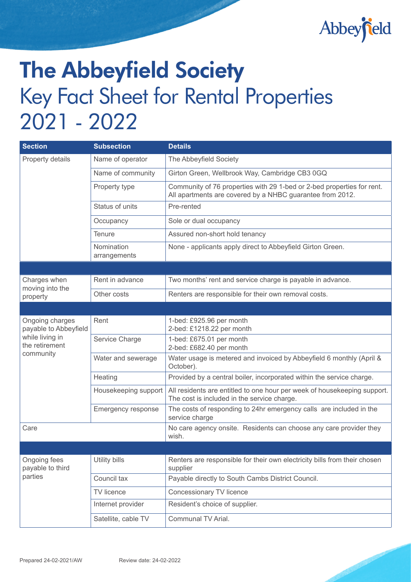

## **The Abbeyfield Society**  Key Fact Sheet for Rental Properties 2021 - 2022

| <b>Section</b>                                 | <b>Subsection</b>          | <b>Details</b>                                                                                                                      |
|------------------------------------------------|----------------------------|-------------------------------------------------------------------------------------------------------------------------------------|
| Property details                               | Name of operator           | The Abbeyfield Society                                                                                                              |
|                                                | Name of community          | Girton Green, Wellbrook Way, Cambridge CB3 0GQ                                                                                      |
|                                                | Property type              | Community of 76 properties with 29 1-bed or 2-bed properties for rent.<br>All apartments are covered by a NHBC guarantee from 2012. |
|                                                | Status of units            | Pre-rented                                                                                                                          |
|                                                | Occupancy                  | Sole or dual occupancy                                                                                                              |
|                                                | <b>Tenure</b>              | Assured non-short hold tenancy                                                                                                      |
|                                                | Nomination<br>arrangements | None - applicants apply direct to Abbeyfield Girton Green.                                                                          |
|                                                |                            |                                                                                                                                     |
| Charges when                                   | Rent in advance            | Two months' rent and service charge is payable in advance.                                                                          |
| moving into the<br>property                    | Other costs                | Renters are responsible for their own removal costs.                                                                                |
|                                                |                            |                                                                                                                                     |
| Ongoing charges<br>payable to Abbeyfield       | Rent                       | 1-bed: £925.96 per month<br>2-bed: £1218.22 per month                                                                               |
| while living in<br>the retirement<br>community | Service Charge             | 1-bed: £675.01 per month<br>2-bed: £682.40 per month                                                                                |
|                                                | Water and sewerage         | Water usage is metered and invoiced by Abbeyfield 6 monthly (April &<br>October).                                                   |
|                                                | Heating                    | Provided by a central boiler, incorporated within the service charge.                                                               |
|                                                | Housekeeping support       | All residents are entitled to one hour per week of housekeeping support.<br>The cost is included in the service charge.             |
|                                                | Emergency response         | The costs of responding to 24hr emergency calls are included in the<br>service charge                                               |
| Care                                           |                            | No care agency onsite. Residents can choose any care provider they<br>wish.                                                         |
|                                                |                            |                                                                                                                                     |
| Ongoing fees<br>payable to third<br>parties    | Utility bills              | Renters are responsible for their own electricity bills from their chosen<br>supplier                                               |
|                                                | Council tax                | Payable directly to South Cambs District Council.                                                                                   |
|                                                | TV licence                 | <b>Concessionary TV licence</b>                                                                                                     |
|                                                | Internet provider          | Resident's choice of supplier.                                                                                                      |
|                                                | Satellite, cable TV        | Communal TV Arial.                                                                                                                  |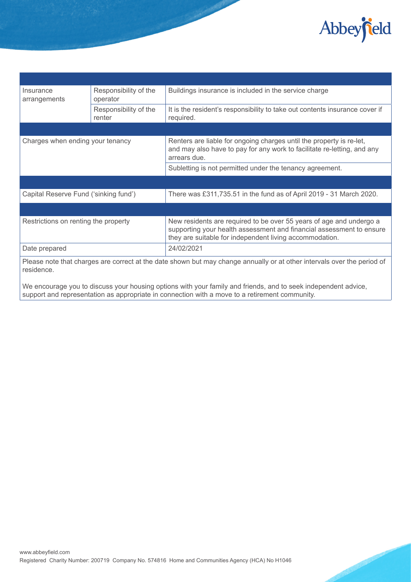

| Insurance<br>arrangements                                                                                                             | Responsibility of the<br>operator | Buildings insurance is included in the service charge                                                                                                                                                  |  |  |
|---------------------------------------------------------------------------------------------------------------------------------------|-----------------------------------|--------------------------------------------------------------------------------------------------------------------------------------------------------------------------------------------------------|--|--|
|                                                                                                                                       | Responsibility of the<br>renter   | It is the resident's responsibility to take out contents insurance cover if<br>required.                                                                                                               |  |  |
|                                                                                                                                       |                                   |                                                                                                                                                                                                        |  |  |
| Charges when ending your tenancy                                                                                                      |                                   | Renters are liable for ongoing charges until the property is re-let,<br>and may also have to pay for any work to facilitate re-letting, and any<br>arrears due.                                        |  |  |
|                                                                                                                                       |                                   | Subletting is not permitted under the tenancy agreement.                                                                                                                                               |  |  |
|                                                                                                                                       |                                   |                                                                                                                                                                                                        |  |  |
| Capital Reserve Fund ('sinking fund')                                                                                                 |                                   | There was £311,735.51 in the fund as of April 2019 - 31 March 2020.                                                                                                                                    |  |  |
|                                                                                                                                       |                                   |                                                                                                                                                                                                        |  |  |
| Restrictions on renting the property                                                                                                  |                                   | New residents are required to be over 55 years of age and undergo a<br>supporting your health assessment and financial assessment to ensure<br>they are suitable for independent living accommodation. |  |  |
| Date prepared                                                                                                                         |                                   | 24/02/2021                                                                                                                                                                                             |  |  |
| Please note that charges are correct at the date shown but may change annually or at other intervals over the period of<br>residence. |                                   |                                                                                                                                                                                                        |  |  |

We encourage you to discuss your housing options with your family and friends, and to seek independent advice, support and representation as appropriate in connection with a move to a retirement community.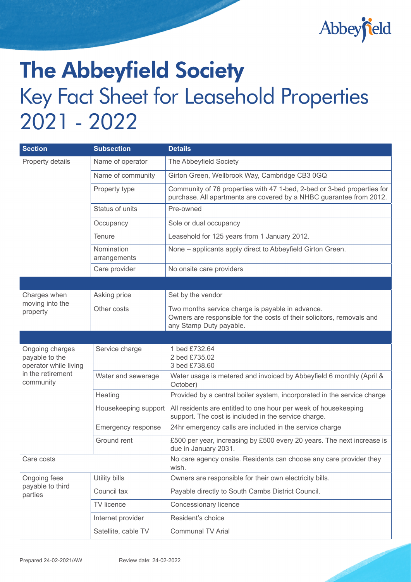

## **The Abbeyfield Society**  Key Fact Sheet for Leasehold Properties 2021 - 2022

| <b>Section</b>                                                                               | <b>Subsection</b>          | <b>Details</b>                                                                                                                                        |
|----------------------------------------------------------------------------------------------|----------------------------|-------------------------------------------------------------------------------------------------------------------------------------------------------|
| Property details                                                                             | Name of operator           | The Abbeyfield Society                                                                                                                                |
|                                                                                              | Name of community          | Girton Green, Wellbrook Way, Cambridge CB3 0GQ                                                                                                        |
|                                                                                              | Property type              | Community of 76 properties with 47 1-bed, 2-bed or 3-bed properties for<br>purchase. All apartments are covered by a NHBC guarantee from 2012.        |
|                                                                                              | Status of units            | Pre-owned                                                                                                                                             |
|                                                                                              | Occupancy                  | Sole or dual occupancy                                                                                                                                |
|                                                                                              | <b>Tenure</b>              | Leasehold for 125 years from 1 January 2012.                                                                                                          |
|                                                                                              | Nomination<br>arrangements | None – applicants apply direct to Abbeyfield Girton Green.                                                                                            |
|                                                                                              | Care provider              | No onsite care providers                                                                                                                              |
|                                                                                              |                            |                                                                                                                                                       |
| Charges when                                                                                 | Asking price               | Set by the vendor                                                                                                                                     |
| moving into the<br>property                                                                  | Other costs                | Two months service charge is payable in advance.<br>Owners are responsible for the costs of their solicitors, removals and<br>any Stamp Duty payable. |
|                                                                                              |                            |                                                                                                                                                       |
| Ongoing charges<br>payable to the<br>operator while living<br>in the retirement<br>community | Service charge             | 1 bed £732.64<br>2 bed £735.02<br>3 bed £738.60                                                                                                       |
|                                                                                              | Water and sewerage         | Water usage is metered and invoiced by Abbeyfield 6 monthly (April &<br>October)                                                                      |
|                                                                                              | Heating                    | Provided by a central boiler system, incorporated in the service charge                                                                               |
|                                                                                              | Housekeeping support       | All residents are entitled to one hour per week of housekeeping<br>support. The cost is included in the service charge.                               |
|                                                                                              | Emergency response         | 24hr emergency calls are included in the service charge                                                                                               |
|                                                                                              | Ground rent                | £500 per year, increasing by £500 every 20 years. The next increase is<br>due in January 2031.                                                        |
| Care costs                                                                                   |                            | No care agency onsite. Residents can choose any care provider they<br>wish.                                                                           |
| Ongoing fees<br>payable to third<br>parties                                                  | Utility bills              | Owners are responsible for their own electricity bills.                                                                                               |
|                                                                                              | Council tax                | Payable directly to South Cambs District Council.                                                                                                     |
|                                                                                              | TV licence                 | Concessionary licence                                                                                                                                 |
|                                                                                              | Internet provider          | Resident's choice                                                                                                                                     |
|                                                                                              | Satellite, cable TV        | <b>Communal TV Arial</b>                                                                                                                              |